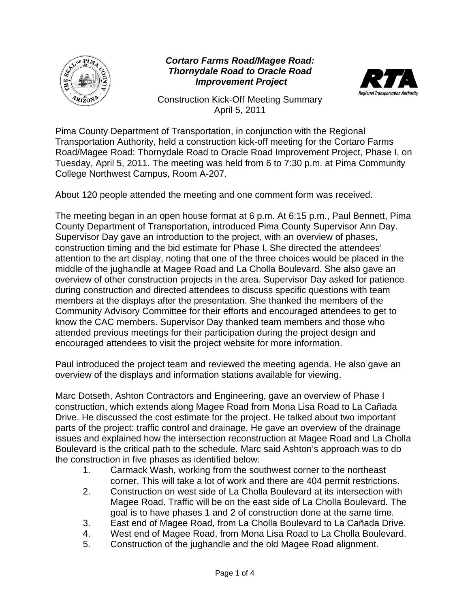

## *Cortaro Farms Road/Magee Road: Thornydale Road to Oracle Road Improvement Project*



Construction Kick-Off Meeting Summary April 5, 2011

Pima County Department of Transportation, in conjunction with the Regional Transportation Authority, held a construction kick-off meeting for the Cortaro Farms Road/Magee Road: Thornydale Road to Oracle Road Improvement Project, Phase I, on Tuesday, April 5, 2011. The meeting was held from 6 to 7:30 p.m. at Pima Community College Northwest Campus, Room A-207.

About 120 people attended the meeting and one comment form was received.

The meeting began in an open house format at 6 p.m. At 6:15 p.m., Paul Bennett, Pima County Department of Transportation, introduced Pima County Supervisor Ann Day. Supervisor Day gave an introduction to the project, with an overview of phases, construction timing and the bid estimate for Phase I. She directed the attendees' attention to the art display, noting that one of the three choices would be placed in the middle of the jughandle at Magee Road and La Cholla Boulevard. She also gave an overview of other construction projects in the area. Supervisor Day asked for patience during construction and directed attendees to discuss specific questions with team members at the displays after the presentation. She thanked the members of the Community Advisory Committee for their efforts and encouraged attendees to get to know the CAC members. Supervisor Day thanked team members and those who attended previous meetings for their participation during the project design and encouraged attendees to visit the project website for more information.

Paul introduced the project team and reviewed the meeting agenda. He also gave an overview of the displays and information stations available for viewing.

Marc Dotseth, Ashton Contractors and Engineering, gave an overview of Phase I construction, which extends along Magee Road from Mona Lisa Road to La Cañada Drive. He discussed the cost estimate for the project. He talked about two important parts of the project: traffic control and drainage. He gave an overview of the drainage issues and explained how the intersection reconstruction at Magee Road and La Cholla Boulevard is the critical path to the schedule. Marc said Ashton's approach was to do the construction in five phases as identified below:

- 1. Carmack Wash, working from the southwest corner to the northeast corner. This will take a lot of work and there are 404 permit restrictions.
- 2. Construction on west side of La Cholla Boulevard at its intersection with Magee Road. Traffic will be on the east side of La Cholla Boulevard. The goal is to have phases 1 and 2 of construction done at the same time.
- 3. East end of Magee Road, from La Cholla Boulevard to La Cañada Drive.
- 4. West end of Magee Road, from Mona Lisa Road to La Cholla Boulevard.
- 5. Construction of the jughandle and the old Magee Road alignment.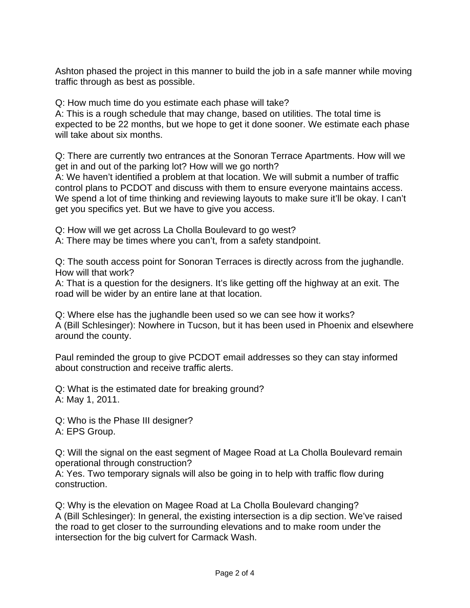Ashton phased the project in this manner to build the job in a safe manner while moving traffic through as best as possible.

Q: How much time do you estimate each phase will take?

A: This is a rough schedule that may change, based on utilities. The total time is expected to be 22 months, but we hope to get it done sooner. We estimate each phase will take about six months.

Q: There are currently two entrances at the Sonoran Terrace Apartments. How will we get in and out of the parking lot? How will we go north?

A: We haven't identified a problem at that location. We will submit a number of traffic control plans to PCDOT and discuss with them to ensure everyone maintains access. We spend a lot of time thinking and reviewing layouts to make sure it'll be okay. I can't get you specifics yet. But we have to give you access.

Q: How will we get across La Cholla Boulevard to go west?

A: There may be times where you can't, from a safety standpoint.

Q: The south access point for Sonoran Terraces is directly across from the jughandle. How will that work?

A: That is a question for the designers. It's like getting off the highway at an exit. The road will be wider by an entire lane at that location.

Q: Where else has the jughandle been used so we can see how it works? A (Bill Schlesinger): Nowhere in Tucson, but it has been used in Phoenix and elsewhere around the county.

Paul reminded the group to give PCDOT email addresses so they can stay informed about construction and receive traffic alerts.

Q: What is the estimated date for breaking ground? A: May 1, 2011.

Q: Who is the Phase III designer? A: EPS Group.

Q: Will the signal on the east segment of Magee Road at La Cholla Boulevard remain operational through construction?

A: Yes. Two temporary signals will also be going in to help with traffic flow during construction.

Q: Why is the elevation on Magee Road at La Cholla Boulevard changing? A (Bill Schlesinger): In general, the existing intersection is a dip section. We've raised the road to get closer to the surrounding elevations and to make room under the intersection for the big culvert for Carmack Wash.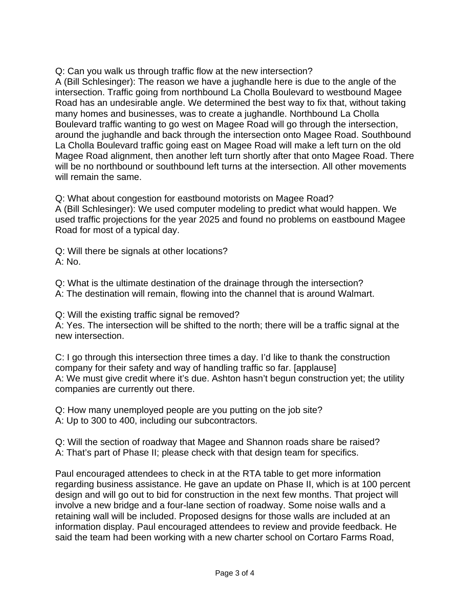Q: Can you walk us through traffic flow at the new intersection? A (Bill Schlesinger): The reason we have a jughandle here is due to the angle of the intersection. Traffic going from northbound La Cholla Boulevard to westbound Magee Road has an undesirable angle. We determined the best way to fix that, without taking many homes and businesses, was to create a jughandle. Northbound La Cholla Boulevard traffic wanting to go west on Magee Road will go through the intersection, around the jughandle and back through the intersection onto Magee Road. Southbound La Cholla Boulevard traffic going east on Magee Road will make a left turn on the old Magee Road alignment, then another left turn shortly after that onto Magee Road. There will be no northbound or southbound left turns at the intersection. All other movements will remain the same.

Q: What about congestion for eastbound motorists on Magee Road? A (Bill Schlesinger): We used computer modeling to predict what would happen. We used traffic projections for the year 2025 and found no problems on eastbound Magee Road for most of a typical day.

Q: Will there be signals at other locations? A: No.

Q: What is the ultimate destination of the drainage through the intersection? A: The destination will remain, flowing into the channel that is around Walmart.

Q: Will the existing traffic signal be removed?

A: Yes. The intersection will be shifted to the north; there will be a traffic signal at the new intersection.

C: I go through this intersection three times a day. I'd like to thank the construction company for their safety and way of handling traffic so far. [applause] A: We must give credit where it's due. Ashton hasn't begun construction yet; the utility companies are currently out there.

Q: How many unemployed people are you putting on the job site? A: Up to 300 to 400, including our subcontractors.

Q: Will the section of roadway that Magee and Shannon roads share be raised? A: That's part of Phase II; please check with that design team for specifics.

Paul encouraged attendees to check in at the RTA table to get more information regarding business assistance. He gave an update on Phase II, which is at 100 percent design and will go out to bid for construction in the next few months. That project will involve a new bridge and a four-lane section of roadway. Some noise walls and a retaining wall will be included. Proposed designs for those walls are included at an information display. Paul encouraged attendees to review and provide feedback. He said the team had been working with a new charter school on Cortaro Farms Road,